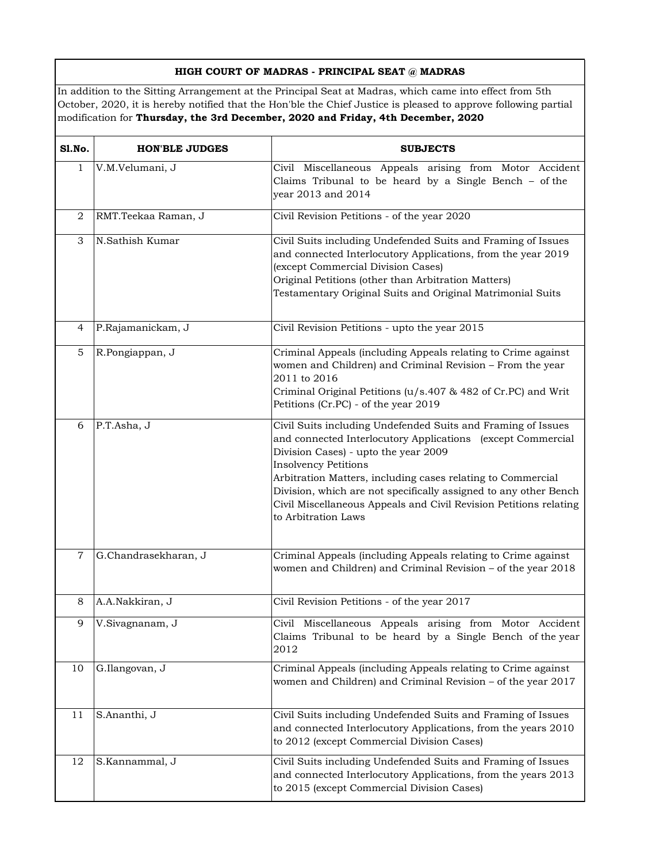## **HIGH COURT OF MADRAS - PRINCIPAL SEAT @ MADRAS**

In addition to the Sitting Arrangement at the Principal Seat at Madras, which came into effect from 5th October, 2020, it is hereby notified that the Hon'ble the Chief Justice is pleased to approve following partial modification for **Thursday, the 3rd December, 2020 and Friday, 4th December, 2020** 

| Sl.No.         | <b>HON'BLE JUDGES</b> | <b>SUBJECTS</b>                                                                                                                                                                                                                                                                                                                                                                                                                   |
|----------------|-----------------------|-----------------------------------------------------------------------------------------------------------------------------------------------------------------------------------------------------------------------------------------------------------------------------------------------------------------------------------------------------------------------------------------------------------------------------------|
| $\mathbf{1}$   | V.M.Velumani, J       | Civil Miscellaneous Appeals arising from Motor Accident<br>Claims Tribunal to be heard by a Single Bench $-$ of the<br>year 2013 and 2014                                                                                                                                                                                                                                                                                         |
| 2              | RMT.Teekaa Raman, J   | Civil Revision Petitions - of the year 2020                                                                                                                                                                                                                                                                                                                                                                                       |
| 3              | N.Sathish Kumar       | Civil Suits including Undefended Suits and Framing of Issues<br>and connected Interlocutory Applications, from the year 2019<br>(except Commercial Division Cases)<br>Original Petitions (other than Arbitration Matters)<br>Testamentary Original Suits and Original Matrimonial Suits                                                                                                                                           |
| $\overline{4}$ | P.Rajamanickam, J     | Civil Revision Petitions - upto the year 2015                                                                                                                                                                                                                                                                                                                                                                                     |
| 5              | R.Pongiappan, J       | Criminal Appeals (including Appeals relating to Crime against<br>women and Children) and Criminal Revision - From the year<br>2011 to 2016<br>Criminal Original Petitions (u/s.407 & 482 of Cr.PC) and Writ<br>Petitions (Cr.PC) - of the year 2019                                                                                                                                                                               |
| 6              | P.T.Asha, J           | Civil Suits including Undefended Suits and Framing of Issues<br>and connected Interlocutory Applications (except Commercial<br>Division Cases) - upto the year 2009<br><b>Insolvency Petitions</b><br>Arbitration Matters, including cases relating to Commercial<br>Division, which are not specifically assigned to any other Bench<br>Civil Miscellaneous Appeals and Civil Revision Petitions relating<br>to Arbitration Laws |
| $\overline{7}$ | G.Chandrasekharan, J  | Criminal Appeals (including Appeals relating to Crime against<br>women and Children) and Criminal Revision - of the year 2018                                                                                                                                                                                                                                                                                                     |
| 8              | A.A.Nakkiran, J       | Civil Revision Petitions - of the year 2017                                                                                                                                                                                                                                                                                                                                                                                       |
| 9              | V.Sivagnanam, J       | Civil Miscellaneous Appeals arising from Motor Accident<br>Claims Tribunal to be heard by a Single Bench of the year<br>2012                                                                                                                                                                                                                                                                                                      |
| 10             | G.Ilangovan, J        | Criminal Appeals (including Appeals relating to Crime against<br>women and Children) and Criminal Revision - of the year 2017                                                                                                                                                                                                                                                                                                     |
| 11             | S.Ananthi, J          | Civil Suits including Undefended Suits and Framing of Issues<br>and connected Interlocutory Applications, from the years 2010<br>to 2012 (except Commercial Division Cases)                                                                                                                                                                                                                                                       |
| 12             | S.Kannammal, J        | Civil Suits including Undefended Suits and Framing of Issues<br>and connected Interlocutory Applications, from the years 2013<br>to 2015 (except Commercial Division Cases)                                                                                                                                                                                                                                                       |